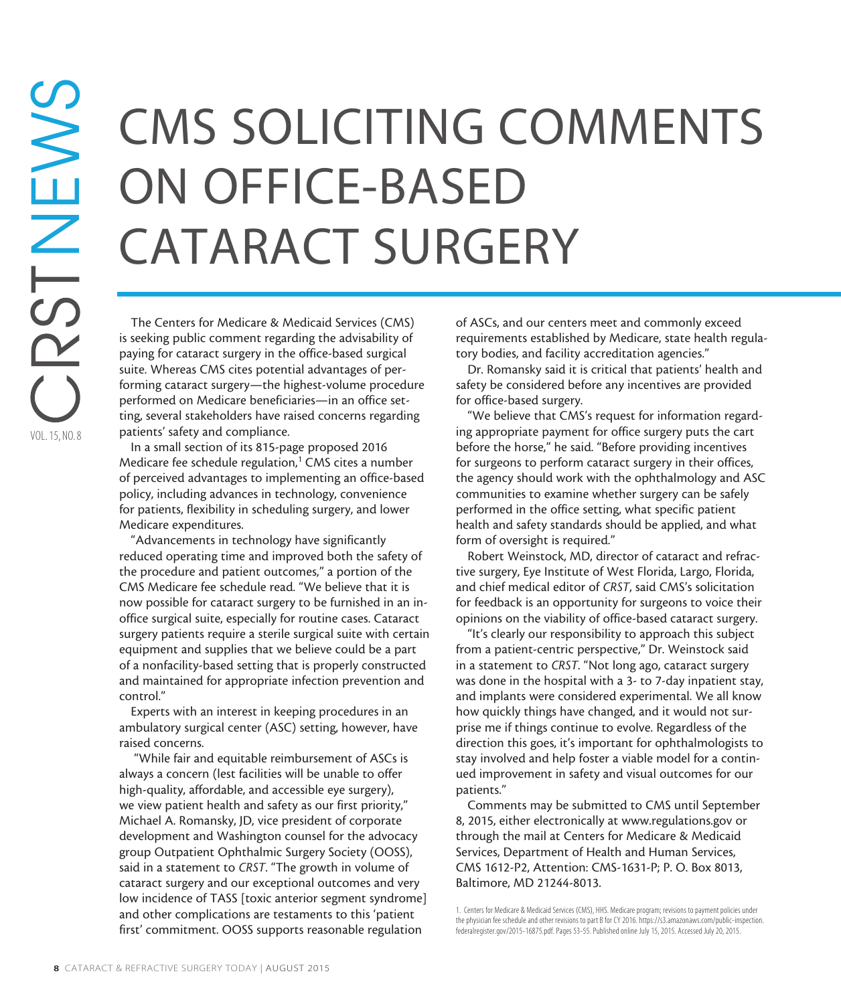# CONSISTENCIA SAN AND SOLUTION THE SURGERY TOON (NUCLES) THE CONSISTENCIAL THE SURGERY TOWALL THANGER AND THE MANUSCONDUCT THANGER CONSISTENCIAL CONSISTENCIAL TO THE MANUSCOND (VI. 15, MO.18) AND CONSISTENCIAL CONSISTENCIAL CMS SOLICITING COMMENTS ON OFFICE-BASED CATARACT SURGERY

The Centers for Medicare & Medicaid Services (CMS) is seeking public comment regarding the advisability of paying for cataract surgery in the office-based surgical suite. Whereas CMS cites potential advantages of performing cataract surgery—the highest-volume procedure performed on Medicare beneficiaries—in an office setting, several stakeholders have raised concerns regarding patients' safety and compliance.

In a small section of its 815-page proposed 2016 Medicare fee schedule regulation,<sup>1</sup> CMS cites a number of perceived advantages to implementing an office-based policy, including advances in technology, convenience for patients, flexibility in scheduling surgery, and lower Medicare expenditures.

"Advancements in technology have significantly reduced operating time and improved both the safety of the procedure and patient outcomes," a portion of the CMS Medicare fee schedule read. "We believe that it is now possible for cataract surgery to be furnished in an inoffice surgical suite, especially for routine cases. Cataract surgery patients require a sterile surgical suite with certain equipment and supplies that we believe could be a part of a nonfacility-based setting that is properly constructed and maintained for appropriate infection prevention and control."

Experts with an interest in keeping procedures in an ambulatory surgical center (ASC) setting, however, have raised concerns.

 "While fair and equitable reimbursement of ASCs is always a concern (lest facilities will be unable to offer high-quality, affordable, and accessible eye surgery), we view patient health and safety as our first priority," Michael A. Romansky, JD, vice president of corporate development and Washington counsel for the advocacy group Outpatient Ophthalmic Surgery Society (OOSS), said in a statement to *CRST*. "The growth in volume of cataract surgery and our exceptional outcomes and very low incidence of TASS [toxic anterior segment syndrome] and other complications are testaments to this 'patient first' commitment. OOSS supports reasonable regulation

of ASCs, and our centers meet and commonly exceed requirements established by Medicare, state health regulatory bodies, and facility accreditation agencies."

Dr. Romansky said it is critical that patients' health and safety be considered before any incentives are provided for office-based surgery.

"We believe that CMS's request for information regarding appropriate payment for office surgery puts the cart before the horse," he said. "Before providing incentives for surgeons to perform cataract surgery in their offices, the agency should work with the ophthalmology and ASC communities to examine whether surgery can be safely performed in the office setting, what specific patient health and safety standards should be applied, and what form of oversight is required."

Robert Weinstock, MD, director of cataract and refractive surgery, Eye Institute of West Florida, Largo, Florida, and chief medical editor of *CRST*, said CMS's solicitation for feedback is an opportunity for surgeons to voice their opinions on the viability of office-based cataract surgery.

"It's clearly our responsibility to approach this subject from a patient-centric perspective," Dr. Weinstock said in a statement to *CRST*. "Not long ago, cataract surgery was done in the hospital with a 3- to 7-day inpatient stay, and implants were considered experimental. We all know how quickly things have changed, and it would not surprise me if things continue to evolve. Regardless of the direction this goes, it's important for ophthalmologists to stay involved and help foster a viable model for a continued improvement in safety and visual outcomes for our patients."

Comments may be submitted to CMS until September 8, 2015, either electronically at www.regulations.gov or through the mail at Centers for Medicare & Medicaid Services, Department of Health and Human Services, CMS 1612-P2, Attention: CMS-1631-P; P. O. Box 8013, Baltimore, MD 21244-8013.

<sup>1.</sup> Centers for Medicare & Medicaid Services (CMS), HHS. Medicare program; revisions to payment policies under the physician fee schedule and other revisions to part B for CY 2016. https://s3.amazonaws.com/public-inspection. federalregister.gov/2015-16875.pdf. Pages 53-55. Published online July 15, 2015. Accessed July 20, 2015.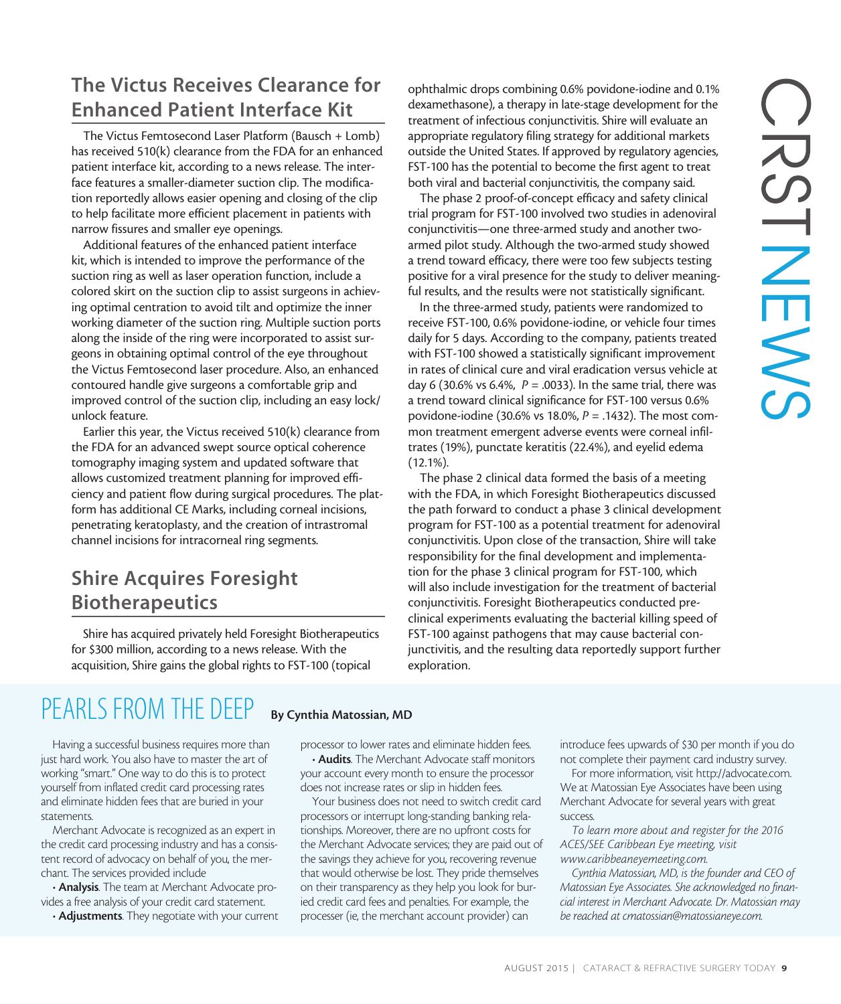# The Victus Receives Clearance for Enhanced Patient Interface Kit

The Victus Femtosecond Laser Platform (Bausch + Lomb) has received 510(k) clearance from the FDA for an enhanced patient interface kit, according to a news release. The interface features a smaller-diameter suction clip. The modification reportedly allows easier opening and closing of the clip to help facilitate more efficient placement in patients with narrow fissures and smaller eye openings.

Additional features of the enhanced patient interface kit, which is intended to improve the performance of the suction ring as well as laser operation function, include a colored skirt on the suction clip to assist surgeons in achieving optimal centration to avoid tilt and optimize the inner working diameter of the suction ring. Multiple suction ports along the inside of the ring were incorporated to assist surgeons in obtaining optimal control of the eye throughout the Victus Femtosecond laser procedure. Also, an enhanced contoured handle give surgeons a comfortable grip and improved control of the suction clip, including an easy lock/ unlock feature.

Earlier this year, the Victus received 510(k) clearance from the FDA for an advanced swept source optical coherence tomography imaging system and updated software that allows customized treatment planning for improved efficiency and patient flow during surgical procedures. The platform has additional CE Marks, including corneal incisions, penetrating keratoplasty, and the creation of intrastromal channel incisions for intracorneal ring segments.

## Shire Acquires Foresight Biotherapeutics

Shire has acquired privately held Foresight Biotherapeutics for \$300 million, according to a news release. With the acquisition, Shire gains the global rights to FST-100 (topical

ophthalmic drops combining 0.6% povidone-iodine and 0.1% dexamethasone), a therapy in late-stage development for the treatment of infectious conjunctivitis. Shire will evaluate an appropriate regulatory filing strategy for additional markets outside the United States. If approved by regulatory agencies, FST-100 has the potential to become the first agent to treat both viral and bacterial conjunctivitis, the company said.

The phase 2 proof-of-concept efficacy and safety clinical trial program for FST-100 involved two studies in adenoviral conjunctivitis—one three-armed study and another twoarmed pilot study. Although the two-armed study showed a trend toward efficacy, there were too few subjects testing positive for a viral presence for the study to deliver meaningful results, and the results were not statistically significant.

In the three-armed study, patients were randomized to receive FST-100, 0.6% povidone-iodine, or vehicle four times daily for 5 days. According to the company, patients treated with FST-100 showed a statistically significant improvement in rates of clinical cure and viral eradication versus vehicle at day 6 (30.6% vs 6.4%,  $P = 0.0033$ ). In the same trial, there was a trend toward clinical significance for FST-100 versus 0.6% povidone-iodine (30.6% vs 18.0%, *P* = .1432). The most common treatment emergent adverse events were corneal infiltrates (19%), punctate keratitis (22.4%), and eyelid edema (12.1%).

Autous<sub>pr</sub> (in the two annots actus) and<br>caty, there were too few subjects testing<br>results were not few subjects testing<br>results were not few subjects testing<br>ersults were not startically significant.<br>Here and twist exper The phase 2 clinical data formed the basis of a meeting with the FDA, in which Foresight Biotherapeutics discussed the path forward to conduct a phase 3 clinical development program for FST-100 as a potential treatment for adenoviral conjunctivitis. Upon close of the transaction, Shire will take responsibility for the final development and implementation for the phase 3 clinical program for FST-100, which will also include investigation for the treatment of bacterial conjunctivitis. Foresight Biotherapeutics conducted preclinical experiments evaluating the bacterial killing speed of FST-100 against pathogens that may cause bacterial conjunctivitis, and the resulting data reportedly support further exploration.

# PEARLS FROM THE DEEP By Cynthia Matossian, MD

Having a successful business requires more than just hard work. You also have to master the art of working "smart." One way to do this is to protect yourself from inflated credit card processing rates and eliminate hidden fees that are buried in your statements.

Merchant Advocate is recognized as an expert in the credit card processing industry and has a consistent record of advocacy on behalf of you, the merchant. The services provided include

• **Analysis**. The team at Merchant Advocate provides a free analysis of your credit card statement.

• Adjustments. They negotiate with your current

processor to lower rates and eliminate hidden fees.

• Audits. The Merchant Advocate staff monitors your account every month to ensure the processor does not increase rates or slip in hidden fees.

Your business does not need to switch credit card processors or interrupt long-standing banking relationships. Moreover, there are no upfront costs for the Merchant Advocate services; they are paid out of the savings they achieve for you, recovering revenue that would otherwise be lost. They pride themselves on their transparency as they help you look for buried credit card fees and penalties. For example, the processer (ie, the merchant account provider) can

introduce fees upwards of \$30 per month if you do not complete their payment card industry survey.

For more information, visit http://advocate.com. We at Matossian Eye Associates have been using Merchant Advocate for several years with great success.

*To learn more about and register for the 2016 ACES/SEE Caribbean Eye meeting, visit www.caribbeaneyemeeting.com.*

*Cynthia Matossian, MD, is the founder and CEO of Matossian Eye Associates. She acknowledged no financial interest in Merchant Advocate. Dr. Matossian may be reached at cmatossian@matossianeye.com.*